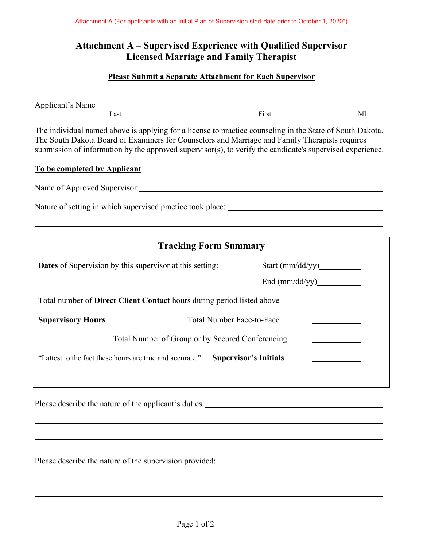# **Attachment A – Supervised Experience with Qualified Supervisor Licensed Marriage and Family Therapist**

#### **Please Submit a Separate Attachment for Each Supervisor**

Applicant's Name Last First MI

The individual named above is applying for a license to practice counseling in the State of South Dakota. The South Dakota Board of Examiners for Counselors and Marriage and Family Therapists requires submission of information by the approved supervisor(s), to verify the candidate's supervised experience.

#### **To be completed by Applicant**

Name of Approved Supervisor:

Nature of setting in which supervised practice took place:

| <b>Tracking Form Summary</b>                                                              |                                               |  |  |  |  |  |
|-------------------------------------------------------------------------------------------|-----------------------------------------------|--|--|--|--|--|
| <b>Dates</b> of Supervision by this supervisor at this setting:                           | Start $(mm/dd/yy)$<br>$\text{End (mm/dd/yy)}$ |  |  |  |  |  |
|                                                                                           |                                               |  |  |  |  |  |
| Total number of <b>Direct Client Contact</b> hours during period listed above             |                                               |  |  |  |  |  |
| <b>Supervisory Hours</b><br><b>Total Number Face-to-Face</b>                              |                                               |  |  |  |  |  |
| Total Number of Group or by Secured Conferencing                                          |                                               |  |  |  |  |  |
| <b>Supervisor's Initials</b><br>"I attest to the fact these hours are true and accurate." |                                               |  |  |  |  |  |
|                                                                                           |                                               |  |  |  |  |  |
| Please describe the nature of the applicant's duties:                                     |                                               |  |  |  |  |  |

Please describe the nature of the supervision provided: